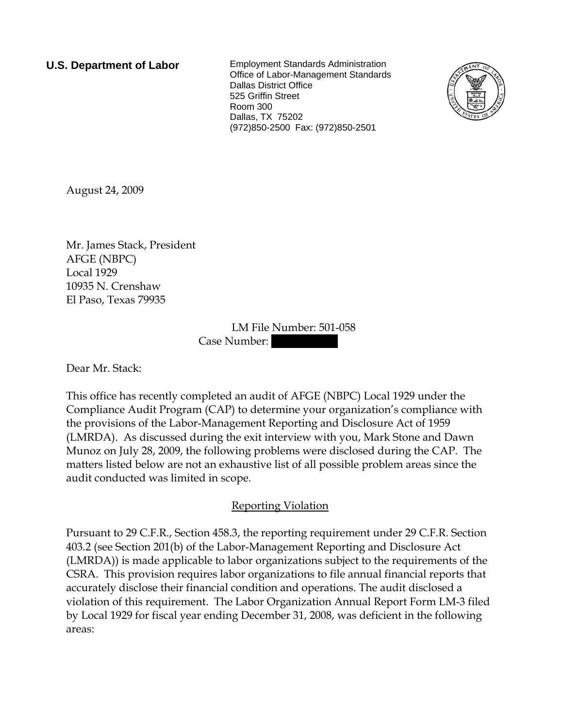**U.S. Department of Labor** Employment Standards Administration Office of Labor-Management Standards Dallas District Office 525 Griffin Street Room 300 Dallas, TX 75202 (972)850-2500 Fax: (972)850-2501



August 24, 2009

Mr. James Stack, President AFGE (NBPC) Local 1929 10935 N. Crenshaw El Paso, Texas 79935

> LM File Number: 501-058 Case Number:

Dear Mr. Stack:

This office has recently completed an audit of AFGE (NBPC) Local 1929 under the Compliance Audit Program (CAP) to determine your organization's compliance with the provisions of the Labor-Management Reporting and Disclosure Act of 1959 (LMRDA). As discussed during the exit interview with you, Mark Stone and Dawn Munoz on July 28, 2009, the following problems were disclosed during the CAP. The matters listed below are not an exhaustive list of all possible problem areas since the audit conducted was limited in scope.

## Reporting Violation

Pursuant to 29 C.F.R., Section 458.3, the reporting requirement under 29 C.F.R. Section 403.2 (see Section 201(b) of the Labor-Management Reporting and Disclosure Act (LMRDA)) is made applicable to labor organizations subject to the requirements of the CSRA. This provision requires labor organizations to file annual financial reports that accurately disclose their financial condition and operations. The audit disclosed a violation of this requirement. The Labor Organization Annual Report Form LM-3 filed by Local 1929 for fiscal year ending December 31, 2008, was deficient in the following areas: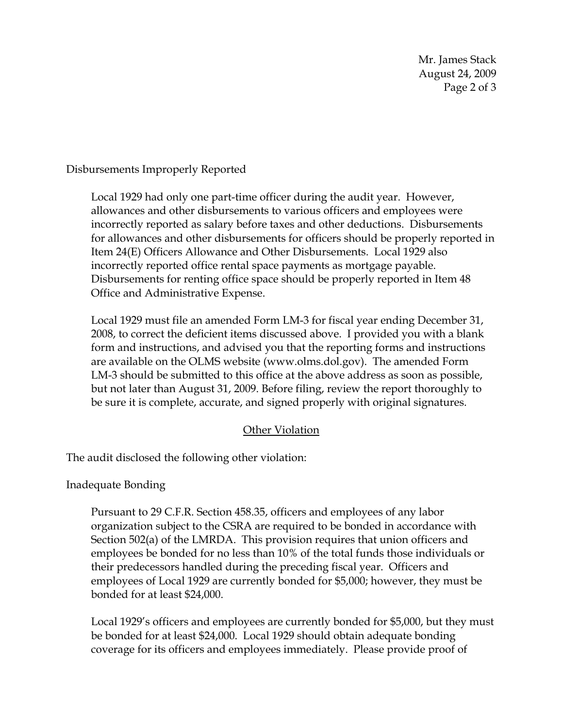Mr. James Stack August 24, 2009 Page 2 of 3

Disbursements Improperly Reported

 Local 1929 had only one part-time officer during the audit year. However, allowances and other disbursements to various officers and employees were incorrectly reported as salary before taxes and other deductions. Disbursements for allowances and other disbursements for officers should be properly reported in Item 24(E) Officers Allowance and Other Disbursements. Local 1929 also incorrectly reported office rental space payments as mortgage payable. Disbursements for renting office space should be properly reported in Item 48 Office and Administrative Expense.

 Local 1929 must file an amended Form LM-3 for fiscal year ending December 31, 2008, to correct the deficient items discussed above. I provided you with a blank form and instructions, and advised you that the reporting forms and instructions are available on the OLMS website (www.olms.dol.gov). The amended Form LM-3 should be submitted to this office at the above address as soon as possible, but not later than August 31, 2009. Before filing, review the report thoroughly to be sure it is complete, accurate, and signed properly with original signatures.

## Other Violation

The audit disclosed the following other violation:

Inadequate Bonding

Pursuant to 29 C.F.R. Section 458.35, officers and employees of any labor organization subject to the CSRA are required to be bonded in accordance with Section 502(a) of the LMRDA. This provision requires that union officers and employees be bonded for no less than 10% of the total funds those individuals or their predecessors handled during the preceding fiscal year. Officers and employees of Local 1929 are currently bonded for \$5,000; however, they must be bonded for at least \$24,000.

Local 1929's officers and employees are currently bonded for \$5,000, but they must be bonded for at least \$24,000. Local 1929 should obtain adequate bonding coverage for its officers and employees immediately. Please provide proof of